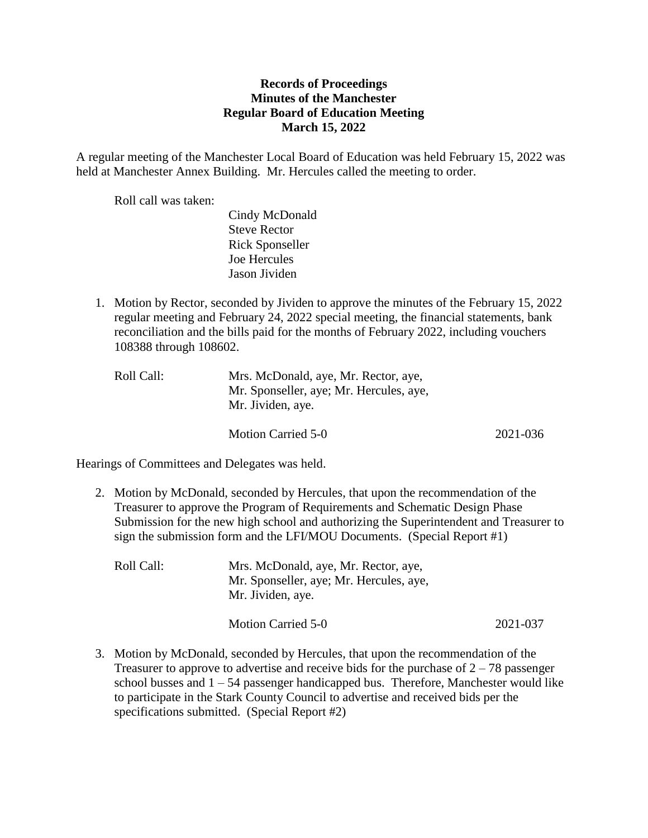## **Records of Proceedings Minutes of the Manchester Regular Board of Education Meeting March 15, 2022**

A regular meeting of the Manchester Local Board of Education was held February 15, 2022 was held at Manchester Annex Building. Mr. Hercules called the meeting to order.

Roll call was taken:

Cindy McDonald Steve Rector Rick Sponseller Joe Hercules Jason Jividen

1. Motion by Rector, seconded by Jividen to approve the minutes of the February 15, 2022 regular meeting and February 24, 2022 special meeting, the financial statements, bank reconciliation and the bills paid for the months of February 2022, including vouchers 108388 through 108602.

| Roll Call: | Mrs. McDonald, aye, Mr. Rector, aye,    |
|------------|-----------------------------------------|
|            | Mr. Sponseller, aye; Mr. Hercules, aye, |
|            | Mr. Jividen, aye.                       |
|            |                                         |

Motion Carried 5-0 2021-036

Hearings of Committees and Delegates was held.

2. Motion by McDonald, seconded by Hercules, that upon the recommendation of the Treasurer to approve the Program of Requirements and Schematic Design Phase Submission for the new high school and authorizing the Superintendent and Treasurer to sign the submission form and the LFI/MOU Documents. (Special Report #1)

| Roll Call: | Mrs. McDonald, aye, Mr. Rector, aye,<br>Mr. Sponseller, aye; Mr. Hercules, aye,<br>Mr. Jividen, aye. |          |
|------------|------------------------------------------------------------------------------------------------------|----------|
|            | Motion Carried 5-0                                                                                   | 2021-037 |

3. Motion by McDonald, seconded by Hercules, that upon the recommendation of the Treasurer to approve to advertise and receive bids for the purchase of  $2 - 78$  passenger school busses and  $1 - 54$  passenger handicapped bus. Therefore, Manchester would like to participate in the Stark County Council to advertise and received bids per the specifications submitted. (Special Report #2)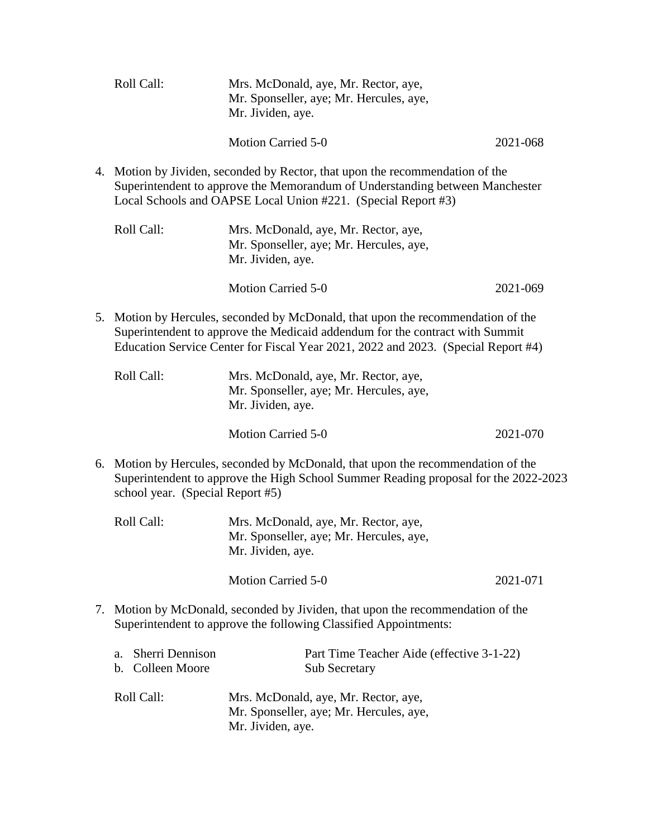|                                                                                                                                                                                                                                                       | Roll Call:                                | Mrs. McDonald, aye, Mr. Rector, aye,<br>Mr. Sponseller, aye; Mr. Hercules, aye,<br>Mr. Jividen, aye.                                                                                                                        |          |
|-------------------------------------------------------------------------------------------------------------------------------------------------------------------------------------------------------------------------------------------------------|-------------------------------------------|-----------------------------------------------------------------------------------------------------------------------------------------------------------------------------------------------------------------------------|----------|
|                                                                                                                                                                                                                                                       |                                           | <b>Motion Carried 5-0</b>                                                                                                                                                                                                   | 2021-068 |
| 4.                                                                                                                                                                                                                                                    |                                           | Motion by Jividen, seconded by Rector, that upon the recommendation of the<br>Superintendent to approve the Memorandum of Understanding between Manchester<br>Local Schools and OAPSE Local Union #221. (Special Report #3) |          |
|                                                                                                                                                                                                                                                       | Roll Call:                                | Mrs. McDonald, aye, Mr. Rector, aye,<br>Mr. Sponseller, aye; Mr. Hercules, aye,<br>Mr. Jividen, aye.                                                                                                                        |          |
|                                                                                                                                                                                                                                                       |                                           | <b>Motion Carried 5-0</b>                                                                                                                                                                                                   | 2021-069 |
| 5. Motion by Hercules, seconded by McDonald, that upon the recommendation of the<br>Superintendent to approve the Medicaid addendum for the contract with Summit<br>Education Service Center for Fiscal Year 2021, 2022 and 2023. (Special Report #4) |                                           |                                                                                                                                                                                                                             |          |
|                                                                                                                                                                                                                                                       | Roll Call:                                | Mrs. McDonald, aye, Mr. Rector, aye,<br>Mr. Sponseller, aye; Mr. Hercules, aye,<br>Mr. Jividen, aye.                                                                                                                        |          |
|                                                                                                                                                                                                                                                       |                                           | <b>Motion Carried 5-0</b>                                                                                                                                                                                                   | 2021-070 |
| 6. Motion by Hercules, seconded by McDonald, that upon the recommendation of the<br>Superintendent to approve the High School Summer Reading proposal for the 2022-2023<br>school year. (Special Report #5)                                           |                                           |                                                                                                                                                                                                                             |          |
|                                                                                                                                                                                                                                                       | Roll Call:                                | Mrs. McDonald, aye, Mr. Rector, aye,<br>Mr. Sponseller, aye; Mr. Hercules, aye,<br>Mr. Jividen, aye.                                                                                                                        |          |
|                                                                                                                                                                                                                                                       |                                           | <b>Motion Carried 5-0</b>                                                                                                                                                                                                   | 2021-071 |
| 7.                                                                                                                                                                                                                                                    |                                           | Motion by McDonald, seconded by Jividen, that upon the recommendation of the<br>Superintendent to approve the following Classified Appointments:                                                                            |          |
|                                                                                                                                                                                                                                                       | Sherri Dennison<br>a.<br>b. Colleen Moore | Part Time Teacher Aide (effective 3-1-22)<br><b>Sub Secretary</b>                                                                                                                                                           |          |
|                                                                                                                                                                                                                                                       | Roll Call:                                | Mrs. McDonald, aye, Mr. Rector, aye,<br>Mr. Sponseller, aye; Mr. Hercules, aye,                                                                                                                                             |          |

Mr. Jividen, aye.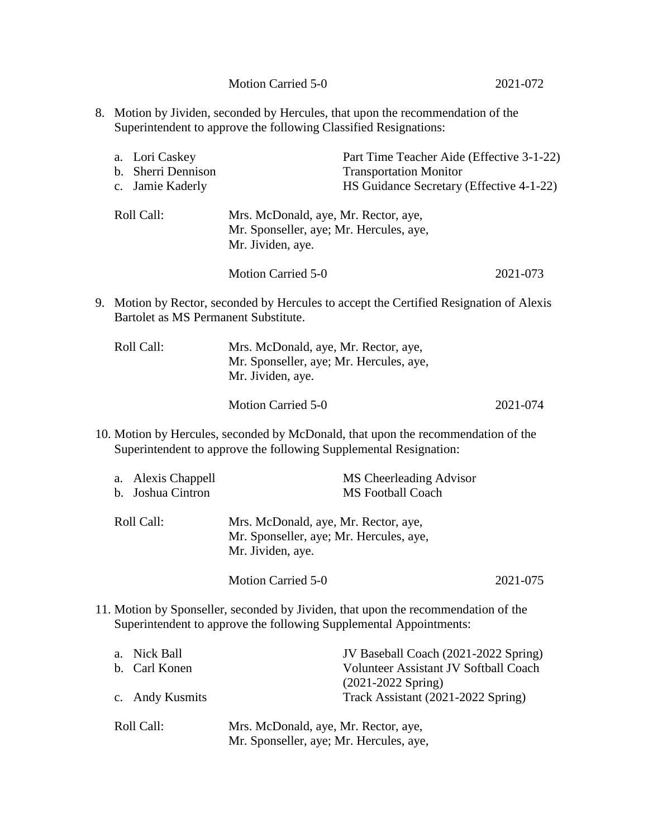8. Motion by Jividen, seconded by Hercules, that upon the recommendation of the Superintendent to approve the following Classified Resignations:

| a. Lori Caskey<br>b. Sherri Dennison<br>c. Jamie Kaderly | Part Time Teacher Aide (Effective 3-1-22)<br><b>Transportation Monitor</b><br>HS Guidance Secretary (Effective 4-1-22) |          |
|----------------------------------------------------------|------------------------------------------------------------------------------------------------------------------------|----------|
| Roll Call:                                               | Mrs. McDonald, aye, Mr. Rector, aye,<br>Mr. Sponseller, aye; Mr. Hercules, aye,<br>Mr. Jividen, aye.                   |          |
|                                                          | <b>Motion Carried 5-0</b>                                                                                              | 2021-073 |

9. Motion by Rector, seconded by Hercules to accept the Certified Resignation of Alexis Bartolet as MS Permanent Substitute.

| Roll Call: | Mrs. McDonald, aye, Mr. Rector, aye,<br>Mr. Sponseller, aye; Mr. Hercules, aye,<br>Mr. Jividen, aye. |          |
|------------|------------------------------------------------------------------------------------------------------|----------|
|            | Motion Carried 5-0                                                                                   | 2021-074 |

10. Motion by Hercules, seconded by McDonald, that upon the recommendation of the Superintendent to approve the following Supplemental Resignation:

| a. Alexis Chappell | MS Cheerleading Advisor                                                                              |          |
|--------------------|------------------------------------------------------------------------------------------------------|----------|
| b. Joshua Cintron  | <b>MS</b> Football Coach                                                                             |          |
| Roll Call:         | Mrs. McDonald, aye, Mr. Rector, aye,<br>Mr. Sponseller, aye; Mr. Hercules, aye,<br>Mr. Jividen, aye. |          |
|                    | Motion Carried 5-0                                                                                   | 2021-075 |

11. Motion by Sponseller, seconded by Jividen, that upon the recommendation of the Superintendent to approve the following Supplemental Appointments:

| a. Nick Ball    | JV Baseball Coach (2021-2022 Spring)                                            |
|-----------------|---------------------------------------------------------------------------------|
| b. Carl Konen   | Volunteer Assistant JV Softball Coach                                           |
|                 | $(2021 - 2022$ Spring)                                                          |
| c. Andy Kusmits | Track Assistant (2021-2022 Spring)                                              |
| Roll Call:      | Mrs. McDonald, aye, Mr. Rector, aye,<br>Mr. Sponseller, aye; Mr. Hercules, aye, |